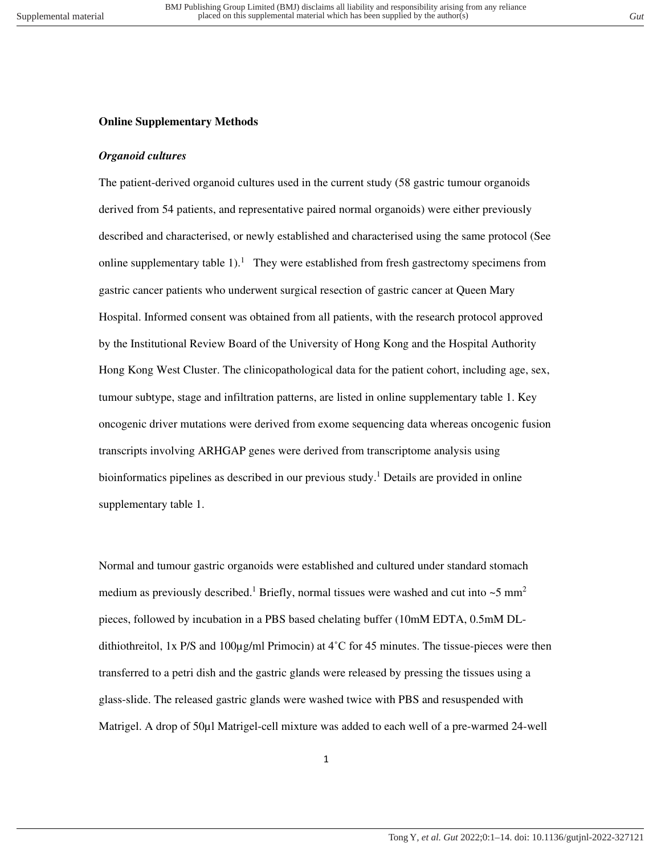### **Online Supplementary Methods**

### *Organoid cultures*

The patient-derived organoid cultures used in the current study (58 gastric tumour organoids derived from 54 patients, and representative paired normal organoids) were either previously described and characterised, or newly established and characterised using the same protocol (See online supplementary table  $1$ ).<sup>1</sup> They were established from fresh gastrectomy specimens from gastric cancer patients who underwent surgical resection of gastric cancer at Queen Mary Hospital. Informed consent was obtained from all patients, with the research protocol approved by the Institutional Review Board of the University of Hong Kong and the Hospital Authority Hong Kong West Cluster. The clinicopathological data for the patient cohort, including age, sex, tumour subtype, stage and infiltration patterns, are listed in online supplementary table 1. Key oncogenic driver mutations were derived from exome sequencing data whereas oncogenic fusion transcripts involving ARHGAP genes were derived from transcriptome analysis using bioinformatics pipelines as described in our previous study.<sup>1</sup> Details are provided in online supplementary table 1.

Normal and tumour gastric organoids were established and cultured under standard stomach medium as previously described.<sup>1</sup> Briefly, normal tissues were washed and cut into  $\sim$ 5 mm<sup>2</sup> pieces, followed by incubation in a PBS based chelating buffer (10mM EDTA, 0.5mM DLdithiothreitol, 1x P/S and 100 $\mu$ g/ml Primocin) at 4<sup>°</sup>C for 45 minutes. The tissue-pieces were then transferred to a petri dish and the gastric glands were released by pressing the tissues using a glass-slide. The released gastric glands were washed twice with PBS and resuspended with Matrigel. A drop of 50 $\mu$ l Matrigel-cell mixture was added to each well of a pre-warmed 24-well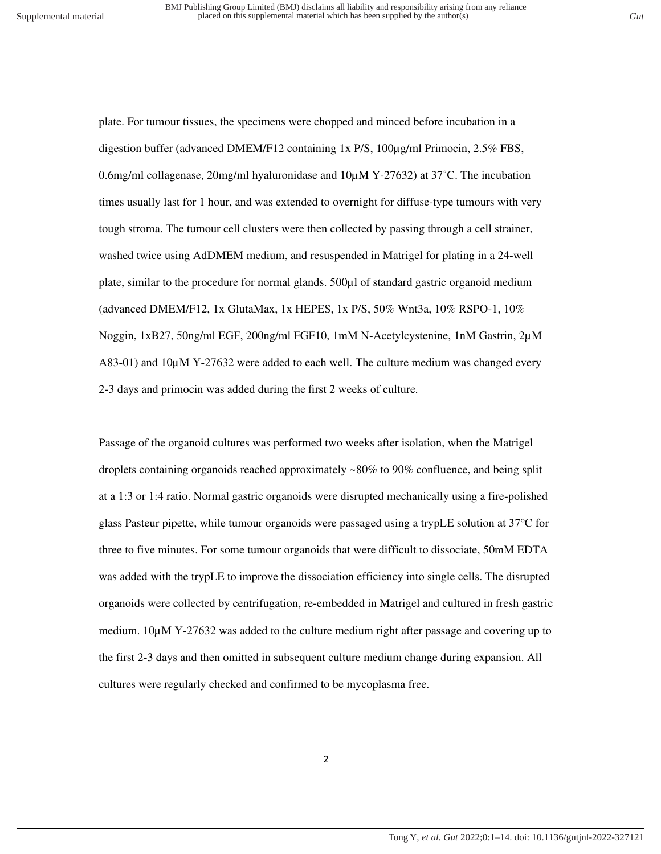plate. For tumour tissues, the specimens were chopped and minced before incubation in a digestion buffer (advanced DMEM/F12 containing 1x P/S, 100µg/ml Primocin, 2.5% FBS, 0.6mg/ml collagenase, 20mg/ml hyaluronidase and 10µM Y-27632) at 37˚C. The incubation times usually last for 1 hour, and was extended to overnight for diffuse-type tumours with very tough stroma. The tumour cell clusters were then collected by passing through a cell strainer, washed twice using AdDMEM medium, and resuspended in Matrigel for plating in a 24-well plate, similar to the procedure for normal glands. 500µl of standard gastric organoid medium (advanced DMEM/F12, 1x GlutaMax, 1x HEPES, 1x P/S, 50% Wnt3a, 10% RSPO-1, 10% Noggin, 1xB27, 50ng/ml EGF, 200ng/ml FGF10, 1mM N-Acetylcystenine, 1nM Gastrin, 2µM A83-01) and 10µM Y-27632 were added to each well. The culture medium was changed every 2-3 days and primocin was added during the first 2 weeks of culture.

Passage of the organoid cultures was performed two weeks after isolation, when the Matrigel droplets containing organoids reached approximately ~80% to 90% confluence, and being split at a 1:3 or 1:4 ratio. Normal gastric organoids were disrupted mechanically using a fire-polished glass Pasteur pipette, while tumour organoids were passaged using a trypLE solution at 37℃ for three to five minutes. For some tumour organoids that were difficult to dissociate, 50mM EDTA was added with the trypLE to improve the dissociation efficiency into single cells. The disrupted organoids were collected by centrifugation, re-embedded in Matrigel and cultured in fresh gastric medium.  $10\mu$ M Y-27632 was added to the culture medium right after passage and covering up to the first 2-3 days and then omitted in subsequent culture medium change during expansion. All cultures were regularly checked and confirmed to be mycoplasma free.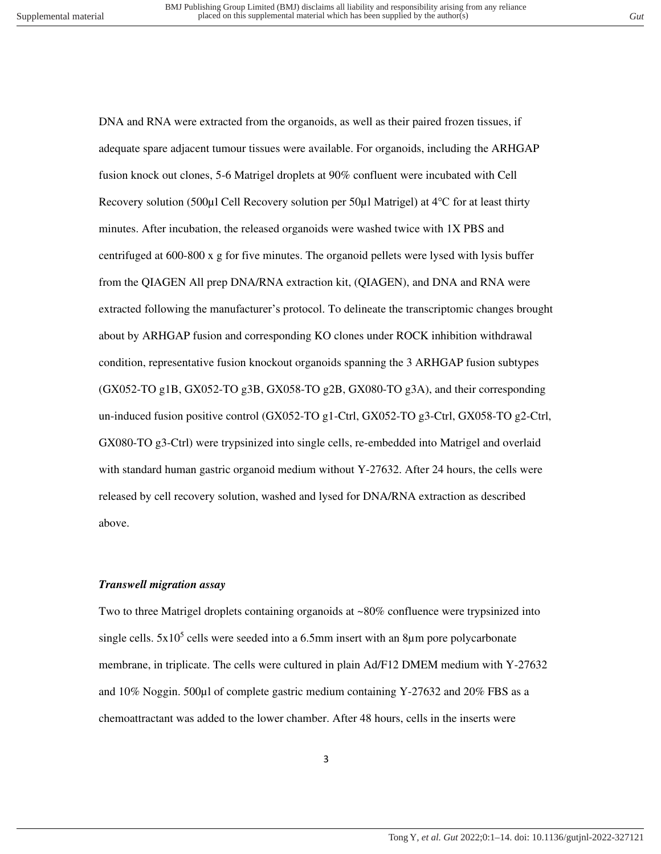DNA and RNA were extracted from the organoids, as well as their paired frozen tissues, if adequate spare adjacent tumour tissues were available. For organoids, including the ARHGAP fusion knock out clones, 5-6 Matrigel droplets at 90% confluent were incubated with Cell Recovery solution (500µl Cell Recovery solution per 50µl Matrigel) at 4℃ for at least thirty minutes. After incubation, the released organoids were washed twice with 1X PBS and centrifuged at 600-800 x g for five minutes. The organoid pellets were lysed with lysis buffer from the QIAGEN All prep DNA/RNA extraction kit, (QIAGEN), and DNA and RNA were extracted following the manufacturer's protocol. To delineate the transcriptomic changes brought about by ARHGAP fusion and corresponding KO clones under ROCK inhibition withdrawal condition, representative fusion knockout organoids spanning the 3 ARHGAP fusion subtypes (GX052-TO g1B, GX052-TO g3B, GX058-TO g2B, GX080-TO g3A), and their corresponding un-induced fusion positive control (GX052-TO g1-Ctrl, GX052-TO g3-Ctrl, GX058-TO g2-Ctrl, GX080-TO g3-Ctrl) were trypsinized into single cells, re-embedded into Matrigel and overlaid with standard human gastric organoid medium without Y-27632. After 24 hours, the cells were released by cell recovery solution, washed and lysed for DNA/RNA extraction as described above.

### *Transwell migration assay*

Two to three Matrigel droplets containing organoids at ~80% confluence were trypsinized into single cells.  $5x10^5$  cells were seeded into a 6.5mm insert with an 8 $\mu$ m pore polycarbonate membrane, in triplicate. The cells were cultured in plain Ad/F12 DMEM medium with Y-27632 and 10% Noggin. 500µl of complete gastric medium containing Y-27632 and 20% FBS as a chemoattractant was added to the lower chamber. After 48 hours, cells in the inserts were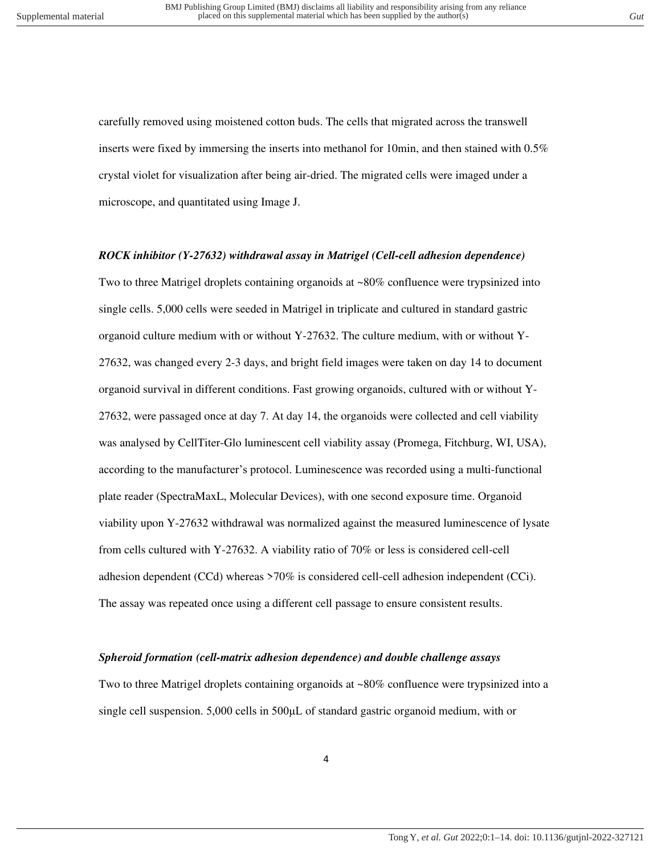carefully removed using moistened cotton buds. The cells that migrated across the transwell inserts were fixed by immersing the inserts into methanol for 10min, and then stained with 0.5% crystal violet for visualization after being air-dried. The migrated cells were imaged under a microscope, and quantitated using Image J.

### *ROCK inhibitor (Y-27632) withdrawal assay in Matrigel (Cell-cell adhesion dependence)*

Two to three Matrigel droplets containing organoids at ~80% confluence were trypsinized into single cells. 5,000 cells were seeded in Matrigel in triplicate and cultured in standard gastric organoid culture medium with or without Y-27632. The culture medium, with or without Y-27632, was changed every 2-3 days, and bright field images were taken on day 14 to document organoid survival in different conditions. Fast growing organoids, cultured with or without Y-27632, were passaged once at day 7. At day 14, the organoids were collected and cell viability was analysed by CellTiter-Glo luminescent cell viability assay (Promega, Fitchburg, WI, USA), according to the manufacturer's protocol. Luminescence was recorded using a multi-functional plate reader (SpectraMaxL, Molecular Devices), with one second exposure time. Organoid viability upon Y-27632 withdrawal was normalized against the measured luminescence of lysate from cells cultured with Y-27632. A viability ratio of 70% or less is considered cell-cell adhesion dependent (CCd) whereas >70% is considered cell-cell adhesion independent (CCi). The assay was repeated once using a different cell passage to ensure consistent results.

### *Spheroid formation (cell-matrix adhesion dependence) and double challenge assays*

Two to three Matrigel droplets containing organoids at ~80% confluence were trypsinized into a single cell suspension. 5,000 cells in 500μL of standard gastric organoid medium, with or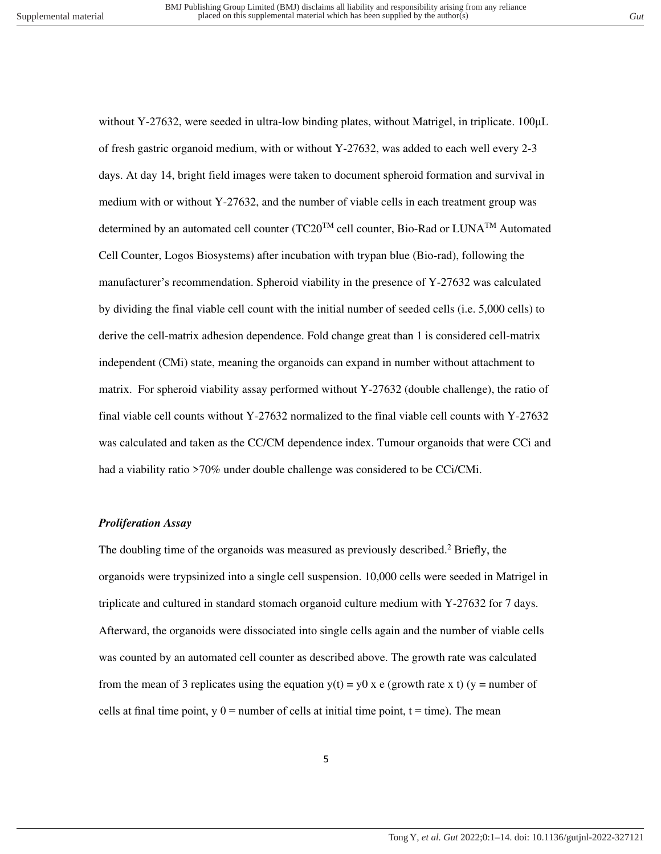without Y-27632, were seeded in ultra-low binding plates, without Matrigel, in triplicate. 100µL of fresh gastric organoid medium, with or without Y-27632, was added to each well every 2-3 days. At day 14, bright field images were taken to document spheroid formation and survival in medium with or without Y-27632, and the number of viable cells in each treatment group was determined by an automated cell counter (TC20<sup>TM</sup> cell counter, Bio-Rad or LUNA<sup>TM</sup> Automated Cell Counter, Logos Biosystems) after incubation with trypan blue (Bio-rad), following the manufacturer's recommendation. Spheroid viability in the presence of Y-27632 was calculated by dividing the final viable cell count with the initial number of seeded cells (i.e. 5,000 cells) to derive the cell-matrix adhesion dependence. Fold change great than 1 is considered cell-matrix independent (CMi) state, meaning the organoids can expand in number without attachment to matrix. For spheroid viability assay performed without Y-27632 (double challenge), the ratio of final viable cell counts without Y-27632 normalized to the final viable cell counts with Y-27632 was calculated and taken as the CC/CM dependence index. Tumour organoids that were CCi and had a viability ratio >70% under double challenge was considered to be CCi/CMi.

### *Proliferation Assay*

The doubling time of the organoids was measured as previously described.<sup>2</sup> Briefly, the organoids were trypsinized into a single cell suspension. 10,000 cells were seeded in Matrigel in triplicate and cultured in standard stomach organoid culture medium with Y-27632 for 7 days. Afterward, the organoids were dissociated into single cells again and the number of viable cells was counted by an automated cell counter as described above. The growth rate was calculated from the mean of 3 replicates using the equation  $y(t) = y0$  x e (growth rate x t) (y = number of cells at final time point,  $y = 0$  = number of cells at initial time point,  $t = time$ ). The mean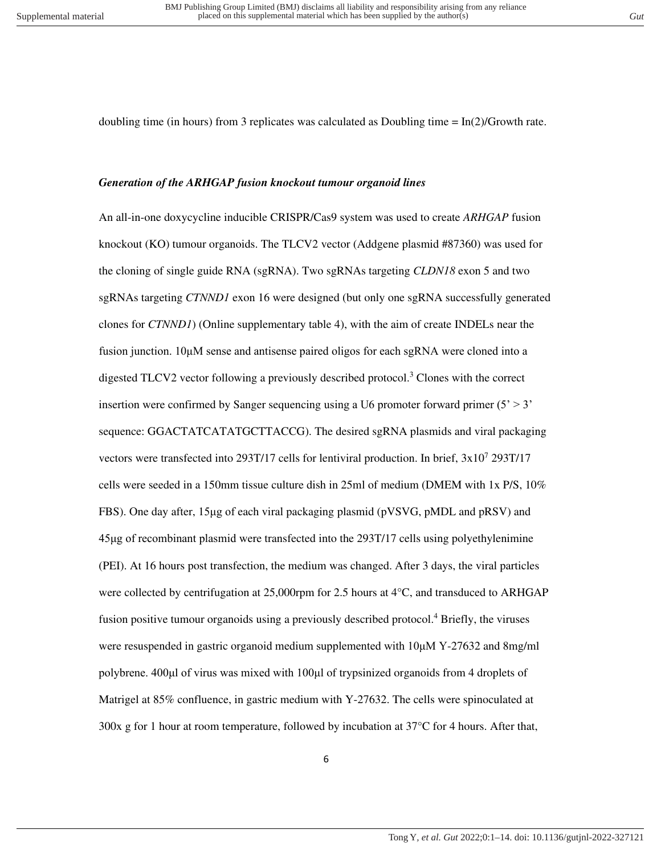doubling time (in hours) from 3 replicates was calculated as Doubling time  $= \ln(2)/G$ rowth rate.

### *Generation of the ARHGAP fusion knockout tumour organoid lines*

An all-in-one doxycycline inducible CRISPR/Cas9 system was used to create *ARHGAP* fusion knockout (KO) tumour organoids. The TLCV2 vector (Addgene plasmid #87360) was used for the cloning of single guide RNA (sgRNA). Two sgRNAs targeting *CLDN18* exon 5 and two sgRNAs targeting *CTNND1* exon 16 were designed (but only one sgRNA successfully generated clones for *CTNND1*) (Online supplementary table 4), with the aim of create INDELs near the fusion junction. 10μM sense and antisense paired oligos for each sgRNA were cloned into a digested TLCV2 vector following a previously described protocol.<sup>3</sup> Clones with the correct insertion were confirmed by Sanger sequencing using a U6 promoter forward primer  $(5' > 3'$ sequence: GGACTATCATATGCTTACCG). The desired sgRNA plasmids and viral packaging vectors were transfected into 293T/17 cells for lentiviral production. In brief, 3x10<sup>7</sup> 293T/17 cells were seeded in a 150mm tissue culture dish in 25ml of medium (DMEM with 1x P/S, 10% FBS). One day after, 15μg of each viral packaging plasmid (pVSVG, pMDL and pRSV) and 45μg of recombinant plasmid were transfected into the 293T/17 cells using polyethylenimine (PEI). At 16 hours post transfection, the medium was changed. After 3 days, the viral particles were collected by centrifugation at 25,000rpm for 2.5 hours at  $4^{\circ}$ C, and transduced to ARHGAP fusion positive tumour organoids using a previously described protocol.<sup>4</sup> Briefly, the viruses were resuspended in gastric organoid medium supplemented with 10μM Y-27632 and 8mg/ml polybrene. 400μl of virus was mixed with 100μl of trypsinized organoids from 4 droplets of Matrigel at 85% confluence, in gastric medium with Y-27632. The cells were spinoculated at 300x g for 1 hour at room temperature, followed by incubation at 37°C for 4 hours. After that,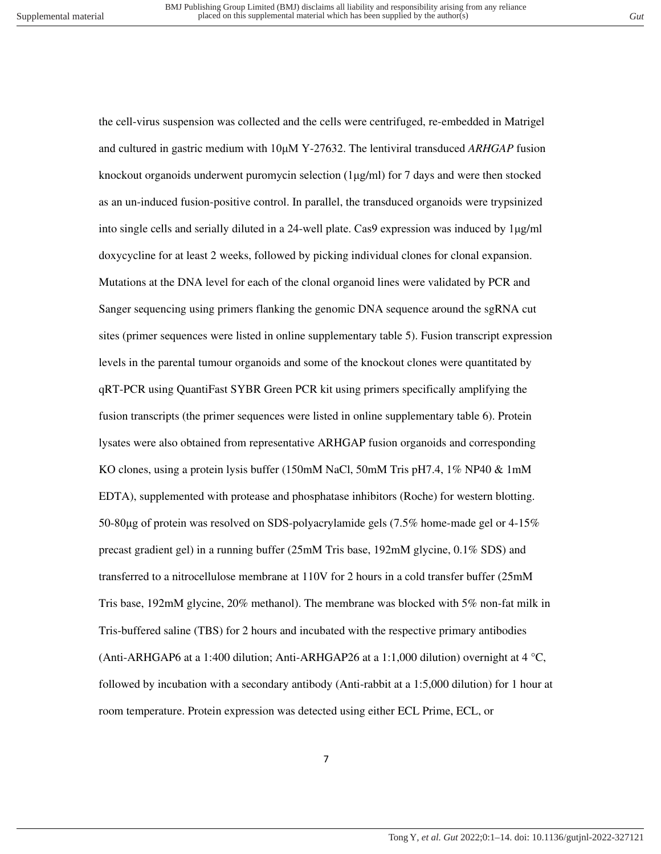the cell-virus suspension was collected and the cells were centrifuged, re-embedded in Matrigel and cultured in gastric medium with 10μM Y-27632. The lentiviral transduced *ARHGAP* fusion knockout organoids underwent puromycin selection (1μg/ml) for 7 days and were then stocked as an un-induced fusion-positive control. In parallel, the transduced organoids were trypsinized into single cells and serially diluted in a 24-well plate. Cas9 expression was induced by 1μg/ml doxycycline for at least 2 weeks, followed by picking individual clones for clonal expansion. Mutations at the DNA level for each of the clonal organoid lines were validated by PCR and Sanger sequencing using primers flanking the genomic DNA sequence around the sgRNA cut sites (primer sequences were listed in online supplementary table 5). Fusion transcript expression levels in the parental tumour organoids and some of the knockout clones were quantitated by qRT-PCR using QuantiFast SYBR Green PCR kit using primers specifically amplifying the fusion transcripts (the primer sequences were listed in online supplementary table 6). Protein lysates were also obtained from representative ARHGAP fusion organoids and corresponding KO clones, using a protein lysis buffer (150mM NaCl, 50mM Tris pH7.4, 1% NP40 & 1mM EDTA), supplemented with protease and phosphatase inhibitors (Roche) for western blotting. 50-80μg of protein was resolved on SDS-polyacrylamide gels (7.5% home-made gel or 4-15% precast gradient gel) in a running buffer (25mM Tris base, 192mM glycine, 0.1% SDS) and transferred to a nitrocellulose membrane at 110V for 2 hours in a cold transfer buffer (25mM Tris base, 192mM glycine, 20% methanol). The membrane was blocked with 5% non-fat milk in Tris-buffered saline (TBS) for 2 hours and incubated with the respective primary antibodies (Anti-ARHGAP6 at a 1:400 dilution; Anti-ARHGAP26 at a 1:1,000 dilution) overnight at  $4 °C$ , followed by incubation with a secondary antibody (Anti-rabbit at a 1:5,000 dilution) for 1 hour at room temperature. Protein expression was detected using either ECL Prime, ECL, or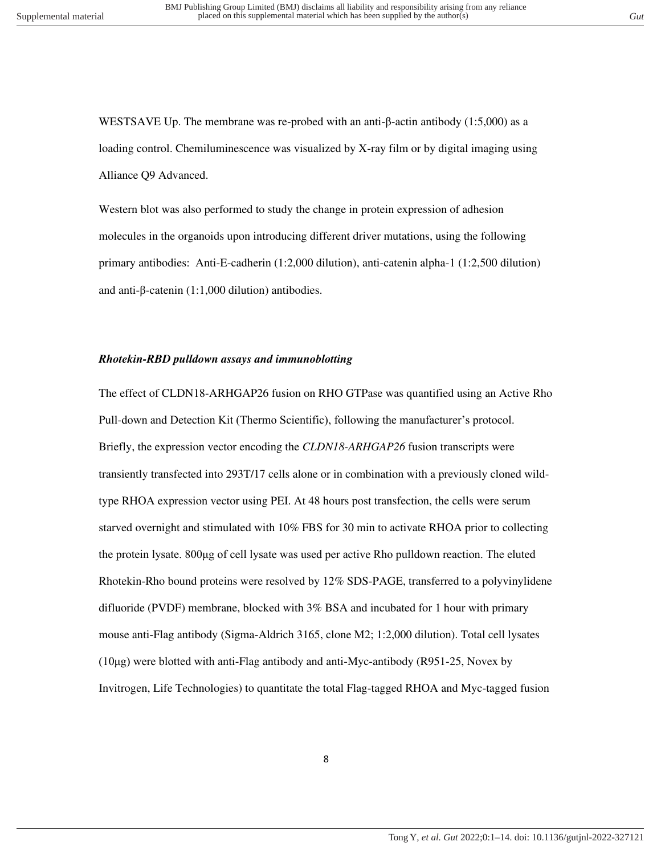WESTSAVE Up. The membrane was re-probed with an anti-β-actin antibody (1:5,000) as a loading control. Chemiluminescence was visualized by X-ray film or by digital imaging using Alliance Q9 Advanced.

Western blot was also performed to study the change in protein expression of adhesion molecules in the organoids upon introducing different driver mutations, using the following primary antibodies: Anti-E-cadherin (1:2,000 dilution), anti-catenin alpha-1 (1:2,500 dilution) and anti-β-catenin (1:1,000 dilution) antibodies.

### *Rhotekin-RBD pulldown assays and immunoblotting*

The effect of CLDN18-ARHGAP26 fusion on RHO GTPase was quantified using an Active Rho Pull-down and Detection Kit (Thermo Scientific), following the manufacturer's protocol. Briefly, the expression vector encoding the *CLDN18-ARHGAP26* fusion transcripts were transiently transfected into 293T/17 cells alone or in combination with a previously cloned wildtype RHOA expression vector using PEI. At 48 hours post transfection, the cells were serum starved overnight and stimulated with 10% FBS for 30 min to activate RHOA prior to collecting the protein lysate. 800μg of cell lysate was used per active Rho pulldown reaction. The eluted Rhotekin-Rho bound proteins were resolved by 12% SDS-PAGE, transferred to a polyvinylidene difluoride (PVDF) membrane, blocked with 3% BSA and incubated for 1 hour with primary mouse anti-Flag antibody (Sigma-Aldrich 3165, clone M2; 1:2,000 dilution). Total cell lysates (10μg) were blotted with anti-Flag antibody and anti-Myc-antibody (R951-25, Novex by Invitrogen, Life Technologies) to quantitate the total Flag-tagged RHOA and Myc-tagged fusion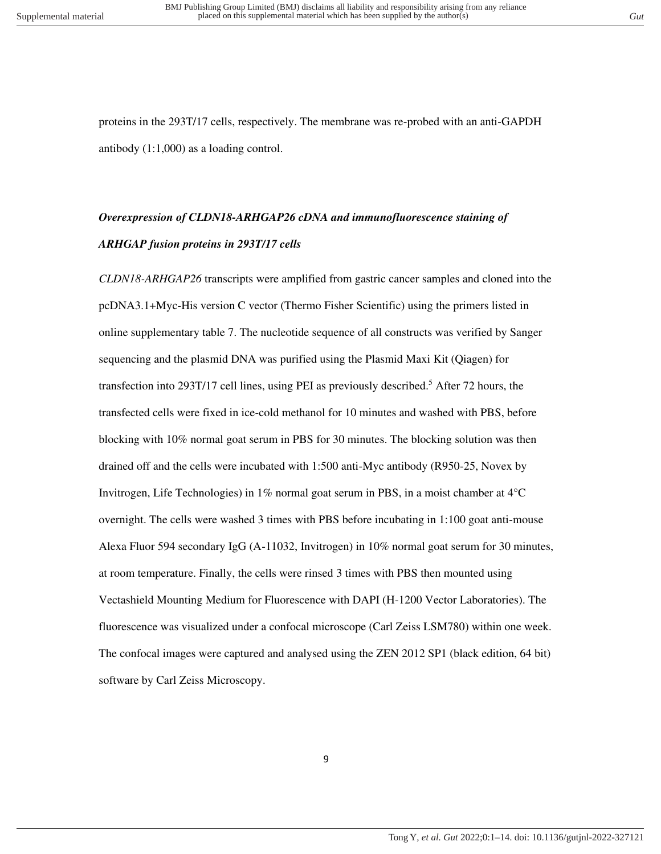proteins in the 293T/17 cells, respectively. The membrane was re-probed with an anti-GAPDH antibody (1:1,000) as a loading control.

# *Overexpression of CLDN18-ARHGAP26 cDNA and immunofluorescence staining of ARHGAP fusion proteins in 293T/17 cells*

*CLDN18-ARHGAP26* transcripts were amplified from gastric cancer samples and cloned into the pcDNA3.1+Myc-His version C vector (Thermo Fisher Scientific) using the primers listed in online supplementary table 7. The nucleotide sequence of all constructs was verified by Sanger sequencing and the plasmid DNA was purified using the Plasmid Maxi Kit (Qiagen) for transfection into 293T/17 cell lines, using PEI as previously described.<sup>5</sup> After 72 hours, the transfected cells were fixed in ice-cold methanol for 10 minutes and washed with PBS, before blocking with 10% normal goat serum in PBS for 30 minutes. The blocking solution was then drained off and the cells were incubated with 1:500 anti-Myc antibody (R950-25, Novex by Invitrogen, Life Technologies) in  $1\%$  normal goat serum in PBS, in a moist chamber at  $4^{\circ}C$ overnight. The cells were washed 3 times with PBS before incubating in 1:100 goat anti-mouse Alexa Fluor 594 secondary IgG (A-11032, Invitrogen) in 10% normal goat serum for 30 minutes, at room temperature. Finally, the cells were rinsed 3 times with PBS then mounted using Vectashield Mounting Medium for Fluorescence with DAPI (H-1200 Vector Laboratories). The fluorescence was visualized under a confocal microscope (Carl Zeiss LSM780) within one week. The confocal images were captured and analysed using the ZEN 2012 SP1 (black edition, 64 bit) software by Carl Zeiss Microscopy.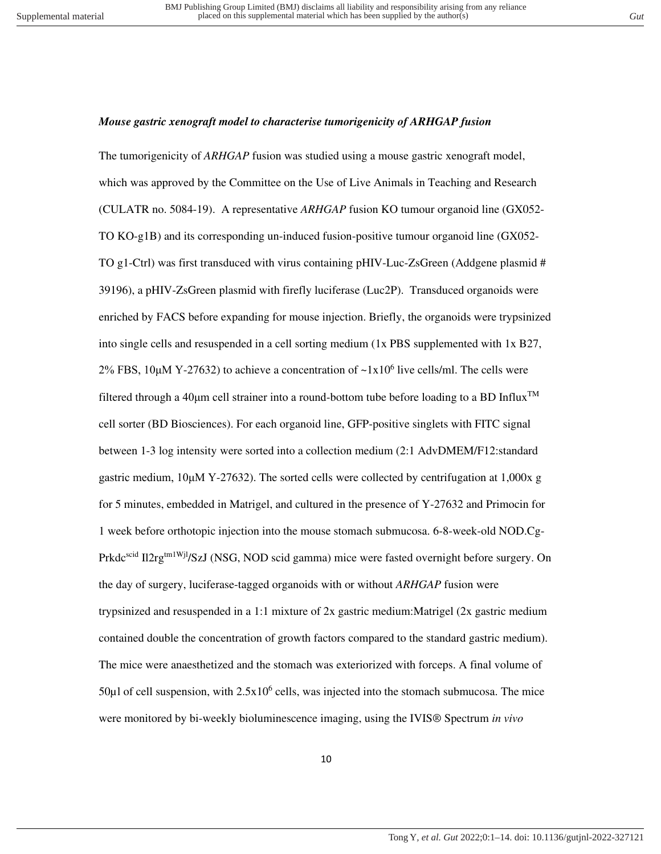### *Mouse gastric xenograft model to characterise tumorigenicity of ARHGAP fusion*

The tumorigenicity of *ARHGAP* fusion was studied using a mouse gastric xenograft model, which was approved by the Committee on the Use of Live Animals in Teaching and Research (CULATR no. 5084-19). A representative *ARHGAP* fusion KO tumour organoid line (GX052- TO KO-g1B) and its corresponding un-induced fusion-positive tumour organoid line (GX052- TO g1-Ctrl) was first transduced with virus containing pHIV-Luc-ZsGreen (Addgene plasmid # 39196), a pHIV-ZsGreen plasmid with firefly luciferase (Luc2P). Transduced organoids were enriched by FACS before expanding for mouse injection. Briefly, the organoids were trypsinized into single cells and resuspended in a cell sorting medium (1x PBS supplemented with 1x B27, 2% FBS, 10 $\mu$ M Y-27632) to achieve a concentration of  $\sim 1x10^6$  live cells/ml. The cells were filtered through a 40 $\mu$ m cell strainer into a round-bottom tube before loading to a BD Influx<sup>TM</sup> cell sorter (BD Biosciences). For each organoid line, GFP-positive singlets with FITC signal between 1-3 log intensity were sorted into a collection medium (2:1 AdvDMEM/F12:standard gastric medium, 10μM Y-27632). The sorted cells were collected by centrifugation at 1,000x g for 5 minutes, embedded in Matrigel, and cultured in the presence of Y-27632 and Primocin for 1 week before orthotopic injection into the mouse stomach submucosa. 6-8-week-old NOD.Cg-Prkdc<sup>scid</sup> Il2rg<sup>tm1Wjl</sup>/SzJ (NSG, NOD scid gamma) mice were fasted overnight before surgery. On the day of surgery, luciferase-tagged organoids with or without *ARHGAP* fusion were trypsinized and resuspended in a 1:1 mixture of 2x gastric medium:Matrigel (2x gastric medium contained double the concentration of growth factors compared to the standard gastric medium). The mice were anaesthetized and the stomach was exteriorized with forceps. A final volume of  $50\mu$ l of cell suspension, with  $2.5x10^6$  cells, was injected into the stomach submucosa. The mice were monitored by bi-weekly bioluminescence imaging, using the IVIS® Spectrum *in vivo*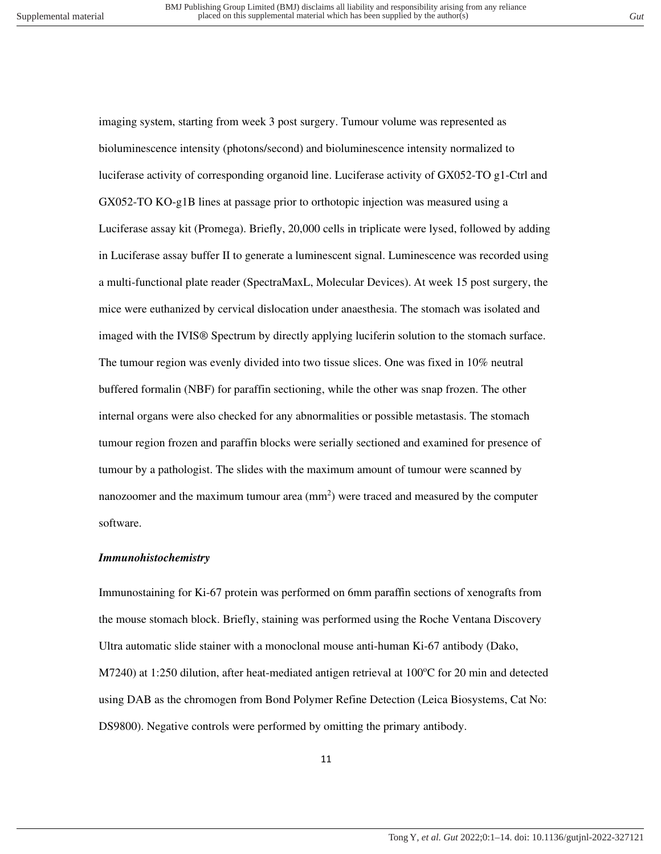imaging system, starting from week 3 post surgery. Tumour volume was represented as bioluminescence intensity (photons/second) and bioluminescence intensity normalized to luciferase activity of corresponding organoid line. Luciferase activity of GX052-TO g1-Ctrl and GX052-TO KO-g1B lines at passage prior to orthotopic injection was measured using a Luciferase assay kit (Promega). Briefly, 20,000 cells in triplicate were lysed, followed by adding in Luciferase assay buffer II to generate a luminescent signal. Luminescence was recorded using a multi-functional plate reader (SpectraMaxL, Molecular Devices). At week 15 post surgery, the mice were euthanized by cervical dislocation under anaesthesia. The stomach was isolated and imaged with the IVIS® Spectrum by directly applying luciferin solution to the stomach surface. The tumour region was evenly divided into two tissue slices. One was fixed in 10% neutral buffered formalin (NBF) for paraffin sectioning, while the other was snap frozen. The other internal organs were also checked for any abnormalities or possible metastasis. The stomach tumour region frozen and paraffin blocks were serially sectioned and examined for presence of tumour by a pathologist. The slides with the maximum amount of tumour were scanned by nanozoomer and the maximum tumour area  $(mm<sup>2</sup>)$  were traced and measured by the computer software.

### *Immunohistochemistry*

Immunostaining for Ki-67 protein was performed on 6mm paraffin sections of xenografts from the mouse stomach block. Briefly, staining was performed using the Roche Ventana Discovery Ultra automatic slide stainer with a monoclonal mouse anti-human Ki-67 antibody (Dako, M7240) at 1:250 dilution, after heat-mediated antigen retrieval at 100°C for 20 min and detected using DAB as the chromogen from Bond Polymer Refine Detection (Leica Biosystems, Cat No: DS9800). Negative controls were performed by omitting the primary antibody.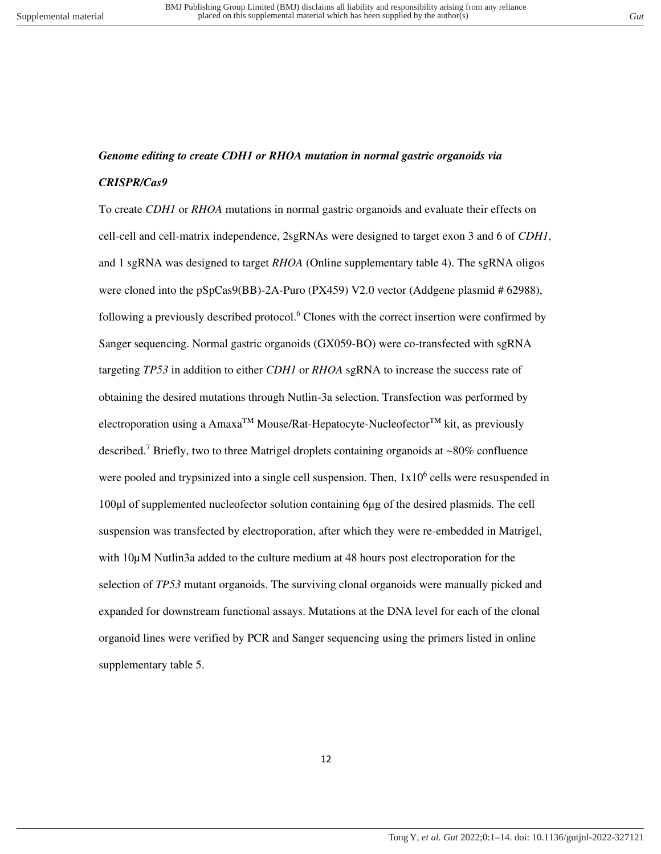## *Genome editing to create CDH1 or RHOA mutation in normal gastric organoids via CRISPR/Cas9*

To create *CDH1* or *RHOA* mutations in normal gastric organoids and evaluate their effects on cell-cell and cell-matrix independence, 2sgRNAs were designed to target exon 3 and 6 of *CDH1*, and 1 sgRNA was designed to target *RHOA* (Online supplementary table 4). The sgRNA oligos were cloned into the pSpCas9(BB)-2A-Puro (PX459) V2.0 vector (Addgene plasmid # 62988), following a previously described protocol.<sup>6</sup> Clones with the correct insertion were confirmed by Sanger sequencing. Normal gastric organoids (GX059-BO) were co-transfected with sgRNA targeting *TP53* in addition to either *CDH1* or *RHOA* sgRNA to increase the success rate of obtaining the desired mutations through Nutlin-3a selection. Transfection was performed by electroporation using a  $Amaxa^{TM}$  Mouse/Rat-Hepatocyte-Nucleofector<sup>TM</sup> kit, as previously described.<sup>7</sup> Briefly, two to three Matrigel droplets containing organoids at ~80% confluence were pooled and trypsinized into a single cell suspension. Then,  $1x10<sup>6</sup>$  cells were resuspended in 100μl of supplemented nucleofector solution containing 6μg of the desired plasmids. The cell suspension was transfected by electroporation, after which they were re-embedded in Matrigel, with  $10\mu$ M Nutlin3a added to the culture medium at 48 hours post electroporation for the selection of *TP53* mutant organoids. The surviving clonal organoids were manually picked and expanded for downstream functional assays. Mutations at the DNA level for each of the clonal organoid lines were verified by PCR and Sanger sequencing using the primers listed in online supplementary table 5.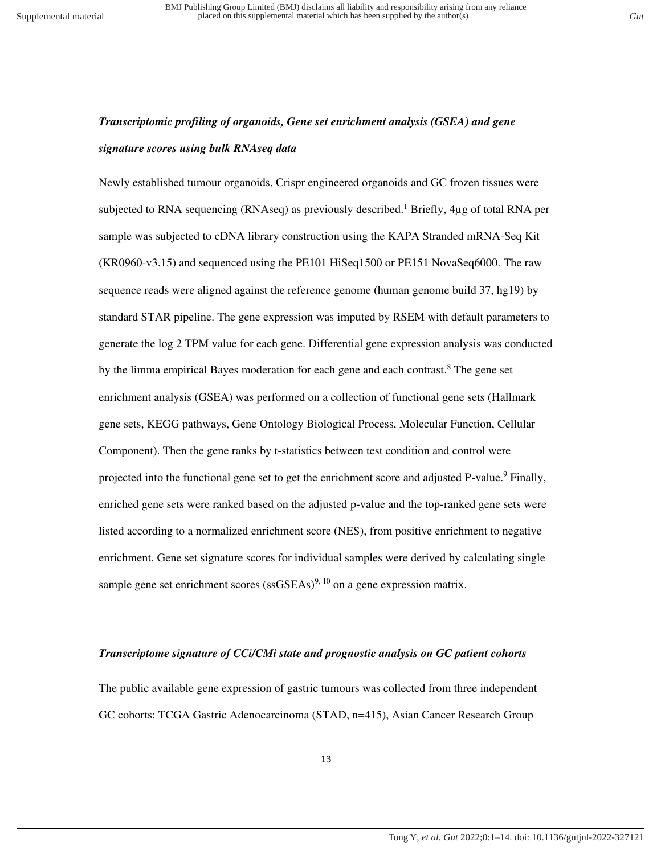## *Transcriptomic profiling of organoids, Gene set enrichment analysis (GSEA) and gene signature scores using bulk RNAseq data*

Newly established tumour organoids, Crispr engineered organoids and GC frozen tissues were subjected to RNA sequencing (RNAseq) as previously described.<sup>1</sup> Briefly,  $4\mu$ g of total RNA per sample was subjected to cDNA library construction using the KAPA Stranded mRNA-Seq Kit (KR0960-v3.15) and sequenced using the PE101 HiSeq1500 or PE151 NovaSeq6000. The raw sequence reads were aligned against the reference genome (human genome build 37, hg19) by standard STAR pipeline. The gene expression was imputed by RSEM with default parameters to generate the log 2 TPM value for each gene. Differential gene expression analysis was conducted by the limma empirical Bayes moderation for each gene and each contrast.<sup>8</sup> The gene set enrichment analysis (GSEA) was performed on a collection of functional gene sets (Hallmark gene sets, KEGG pathways, Gene Ontology Biological Process, Molecular Function, Cellular Component). Then the gene ranks by t-statistics between test condition and control were projected into the functional gene set to get the enrichment score and adjusted P-value.<sup>9</sup> Finally, enriched gene sets were ranked based on the adjusted p-value and the top-ranked gene sets were listed according to a normalized enrichment score (NES), from positive enrichment to negative enrichment. Gene set signature scores for individual samples were derived by calculating single sample gene set enrichment scores (ss $GSEAs$ )<sup>9, 10</sup> on a gene expression matrix.

### *Transcriptome signature of CCi/CMi state and prognostic analysis on GC patient cohorts*

The public available gene expression of gastric tumours was collected from three independent GC cohorts: TCGA Gastric Adenocarcinoma (STAD, n=415), Asian Cancer Research Group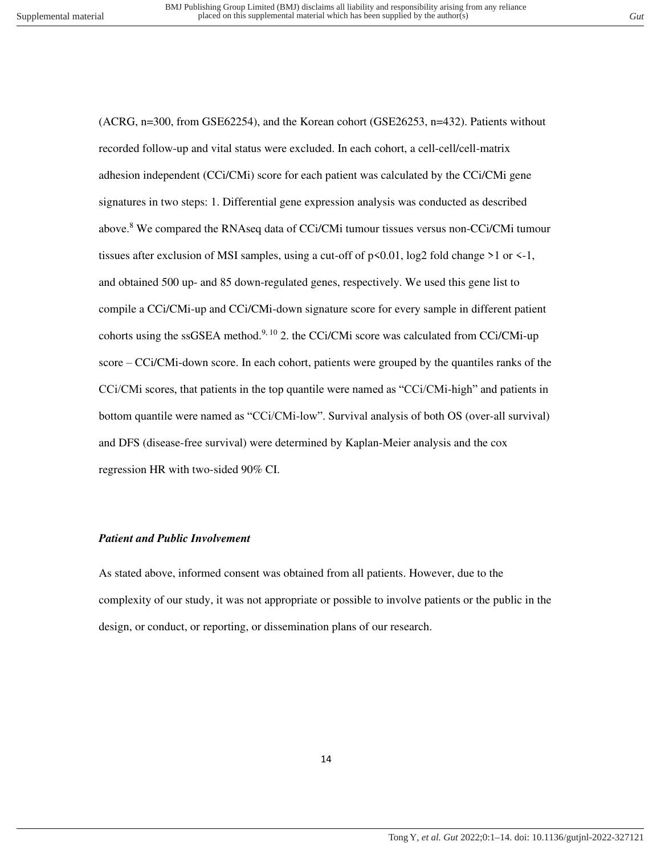(ACRG, n=300, from GSE62254), and the Korean cohort (GSE26253, n=432). Patients without recorded follow-up and vital status were excluded. In each cohort, a cell-cell/cell-matrix adhesion independent (CCi/CMi) score for each patient was calculated by the CCi/CMi gene signatures in two steps: 1. Differential gene expression analysis was conducted as described above.<sup>8</sup> We compared the RNAseq data of CCi/CMi tumour tissues versus non-CCi/CMi tumour tissues after exclusion of MSI samples, using a cut-off of  $p \le 0.01$ , log2 fold change  $>1$  or  $\le -1$ , and obtained 500 up- and 85 down-regulated genes, respectively. We used this gene list to compile a CCi/CMi-up and CCi/CMi-down signature score for every sample in different patient cohorts using the ssGSEA method.<sup>9, 10</sup> 2. the CCi/CMi score was calculated from CCi/CMi-up score – CCi/CMi-down score. In each cohort, patients were grouped by the quantiles ranks of the CCi/CMi scores, that patients in the top quantile were named as "CCi/CMi-high" and patients in bottom quantile were named as "CCi/CMi-low". Survival analysis of both OS (over-all survival) and DFS (disease-free survival) were determined by Kaplan-Meier analysis and the cox regression HR with two-sided 90% CI.

### *Patient and Public Involvement*

As stated above, informed consent was obtained from all patients. However, due to the complexity of our study, it was not appropriate or possible to involve patients or the public in the design, or conduct, or reporting, or dissemination plans of our research.